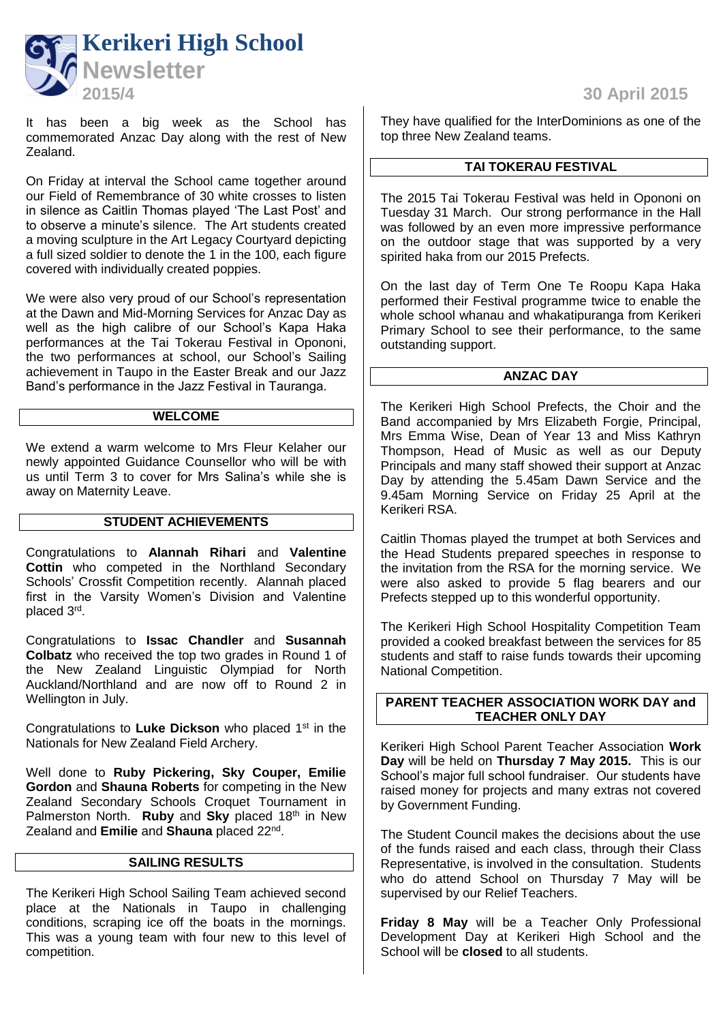

It has been a big week as the School has commemorated Anzac Day along with the rest of New Zealand.

On Friday at interval the School came together around our Field of Remembrance of 30 white crosses to listen in silence as Caitlin Thomas played 'The Last Post' and to observe a minute's silence. The Art students created a moving sculpture in the Art Legacy Courtyard depicting a full sized soldier to denote the 1 in the 100, each figure covered with individually created poppies.

We were also very proud of our School's representation at the Dawn and Mid-Morning Services for Anzac Day as well as the high calibre of our School's Kapa Haka performances at the Tai Tokerau Festival in Opononi, the two performances at school, our School's Sailing achievement in Taupo in the Easter Break and our Jazz Band's performance in the Jazz Festival in Tauranga.

### **WELCOME**

We extend a warm welcome to Mrs Fleur Kelaher our newly appointed Guidance Counsellor who will be with us until Term 3 to cover for Mrs Salina's while she is away on Maternity Leave.

#### **STUDENT ACHIEVEMENTS**

Congratulations to **Alannah Rihari** and **Valentine Cottin** who competed in the Northland Secondary Schools' Crossfit Competition recently. Alannah placed first in the Varsity Women's Division and Valentine placed 3<sup>rd</sup>.

Congratulations to **Issac Chandler** and **Susannah Colbatz** who received the top two grades in Round 1 of the New Zealand Linguistic Olympiad for North Auckland/Northland and are now off to Round 2 in Wellington in July.

Congratulations to **Luke Dickson** who placed 1st in the Nationals for New Zealand Field Archery.

Well done to **Ruby Pickering, Sky Couper, Emilie Gordon** and **Shauna Roberts** for competing in the New Zealand Secondary Schools Croquet Tournament in Palmerston North. **Ruby** and **Sky** placed 18th in New Zealand and **Emilie** and **Shauna** placed 22nd .

#### **SAILING RESULTS**

The Kerikeri High School Sailing Team achieved second place at the Nationals in Taupo in challenging conditions, scraping ice off the boats in the mornings. This was a young team with four new to this level of competition.

They have qualified for the InterDominions as one of the top three New Zealand teams.

#### **TAI TOKERAU FESTIVAL**

The 2015 Tai Tokerau Festival was held in Opononi on Tuesday 31 March. Our strong performance in the Hall was followed by an even more impressive performance on the outdoor stage that was supported by a very spirited haka from our 2015 Prefects.

On the last day of Term One Te Roopu Kapa Haka performed their Festival programme twice to enable the whole school whanau and whakatipuranga from Kerikeri Primary School to see their performance, to the same outstanding support.

## **ANZAC DAY**

The Kerikeri High School Prefects, the Choir and the Band accompanied by Mrs Elizabeth Forgie, Principal, Mrs Emma Wise, Dean of Year 13 and Miss Kathryn Thompson, Head of Music as well as our Deputy Principals and many staff showed their support at Anzac Day by attending the 5.45am Dawn Service and the 9.45am Morning Service on Friday 25 April at the Kerikeri RSA.

Caitlin Thomas played the trumpet at both Services and the Head Students prepared speeches in response to the invitation from the RSA for the morning service. We were also asked to provide 5 flag bearers and our Prefects stepped up to this wonderful opportunity.

The Kerikeri High School Hospitality Competition Team provided a cooked breakfast between the services for 85 students and staff to raise funds towards their upcoming National Competition.

# **PARENT TEACHER ASSOCIATION WORK DAY and TEACHER ONLY DAY**

Kerikeri High School Parent Teacher Association **Work Day** will be held on **Thursday 7 May 2015.** This is our School's major full school fundraiser. Our students have raised money for projects and many extras not covered by Government Funding.

The Student Council makes the decisions about the use of the funds raised and each class, through their Class Representative, is involved in the consultation. Students who do attend School on Thursday 7 May will be supervised by our Relief Teachers.

**Friday 8 May** will be a Teacher Only Professional Development Day at Kerikeri High School and the School will be **closed** to all students.